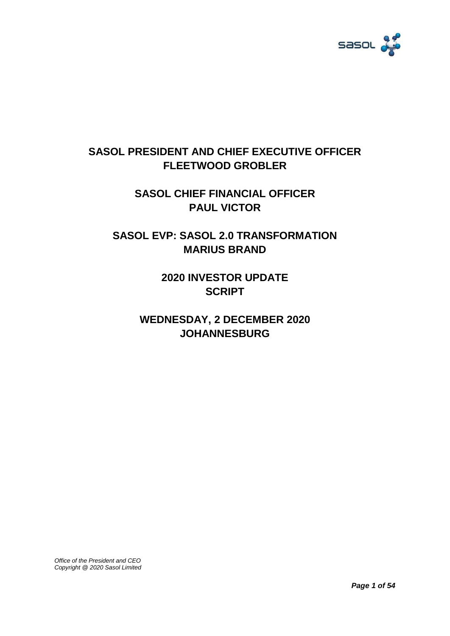

# **SASOL PRESIDENT AND CHIEF EXECUTIVE OFFICER FLEETWOOD GROBLER**

**SASOL CHIEF FINANCIAL OFFICER PAUL VICTOR**

**SASOL EVP: SASOL 2.0 TRANSFORMATION MARIUS BRAND**

> **2020 INVESTOR UPDATE SCRIPT**

**WEDNESDAY, 2 DECEMBER 2020 JOHANNESBURG**

*Office of the President and CEO Copyright @ 2020 Sasol Limited*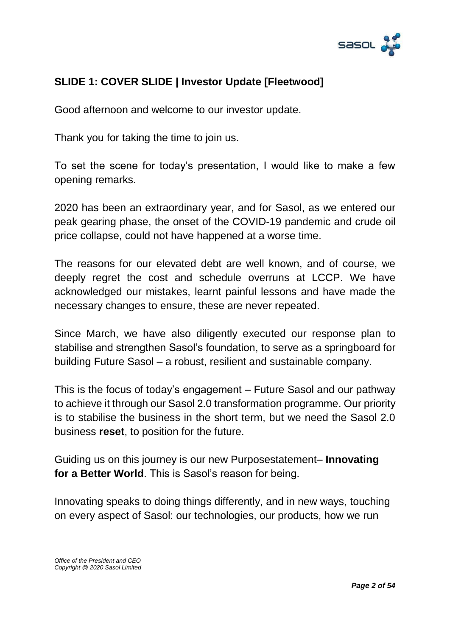

### **SLIDE 1: COVER SLIDE | Investor Update [Fleetwood]**

Good afternoon and welcome to our investor update.

Thank you for taking the time to join us.

To set the scene for today's presentation, I would like to make a few opening remarks.

2020 has been an extraordinary year, and for Sasol, as we entered our peak gearing phase, the onset of the COVID-19 pandemic and crude oil price collapse, could not have happened at a worse time.

The reasons for our elevated debt are well known, and of course, we deeply regret the cost and schedule overruns at LCCP. We have acknowledged our mistakes, learnt painful lessons and have made the necessary changes to ensure, these are never repeated.

Since March, we have also diligently executed our response plan to stabilise and strengthen Sasol's foundation, to serve as a springboard for building Future Sasol – a robust, resilient and sustainable company.

This is the focus of today's engagement – Future Sasol and our pathway to achieve it through our Sasol 2.0 transformation programme. Our priority is to stabilise the business in the short term, but we need the Sasol 2.0 business **reset**, to position for the future.

Guiding us on this journey is our new Purposestatement– **Innovating for a Better World**. This is Sasol's reason for being.

Innovating speaks to doing things differently, and in new ways, touching on every aspect of Sasol: our technologies, our products, how we run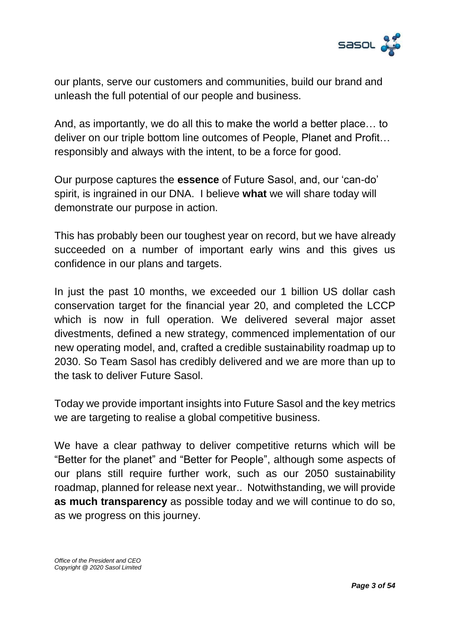

our plants, serve our customers and communities, build our brand and unleash the full potential of our people and business.

And, as importantly, we do all this to make the world a better place… to deliver on our triple bottom line outcomes of People, Planet and Profit… responsibly and always with the intent, to be a force for good.

Our purpose captures the **essence** of Future Sasol, and, our 'can-do' spirit, is ingrained in our DNA. I believe **what** we will share today will demonstrate our purpose in action.

This has probably been our toughest year on record, but we have already succeeded on a number of important early wins and this gives us confidence in our plans and targets.

In just the past 10 months, we exceeded our 1 billion US dollar cash conservation target for the financial year 20, and completed the LCCP which is now in full operation. We delivered several major asset divestments, defined a new strategy, commenced implementation of our new operating model, and, crafted a credible sustainability roadmap up to 2030. So Team Sasol has credibly delivered and we are more than up to the task to deliver Future Sasol.

Today we provide important insights into Future Sasol and the key metrics we are targeting to realise a global competitive business.

We have a clear pathway to deliver competitive returns which will be "Better for the planet" and "Better for People", although some aspects of our plans still require further work, such as our 2050 sustainability roadmap, planned for release next year.. Notwithstanding, we will provide **as much transparency** as possible today and we will continue to do so, as we progress on this journey.

*Office of the President and CEO Copyright @ 2020 Sasol Limited*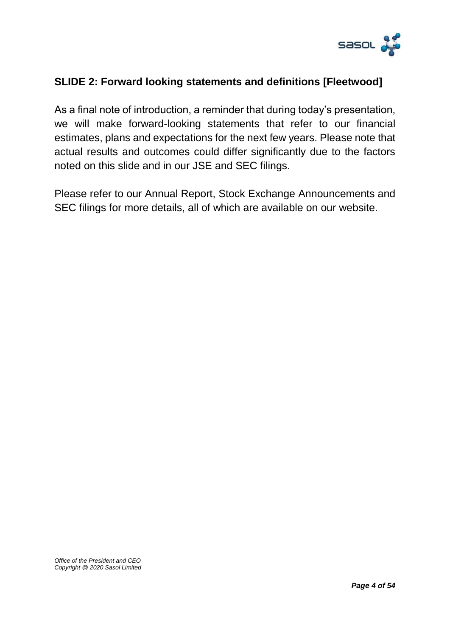

#### **SLIDE 2: Forward looking statements and definitions [Fleetwood]**

As a final note of introduction, a reminder that during today's presentation, we will make forward-looking statements that refer to our financial estimates, plans and expectations for the next few years. Please note that actual results and outcomes could differ significantly due to the factors noted on this slide and in our JSE and SEC filings.

Please refer to our Annual Report, Stock Exchange Announcements and SEC filings for more details, all of which are available on our website.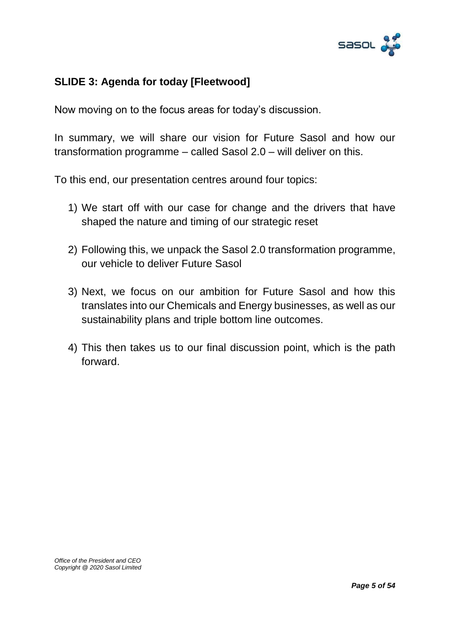

### **SLIDE 3: Agenda for today [Fleetwood]**

Now moving on to the focus areas for today's discussion.

In summary, we will share our vision for Future Sasol and how our transformation programme – called Sasol 2.0 – will deliver on this.

To this end, our presentation centres around four topics:

- 1) We start off with our case for change and the drivers that have shaped the nature and timing of our strategic reset
- 2) Following this, we unpack the Sasol 2.0 transformation programme, our vehicle to deliver Future Sasol
- 3) Next, we focus on our ambition for Future Sasol and how this translates into our Chemicals and Energy businesses, as well as our sustainability plans and triple bottom line outcomes.
- 4) This then takes us to our final discussion point, which is the path forward.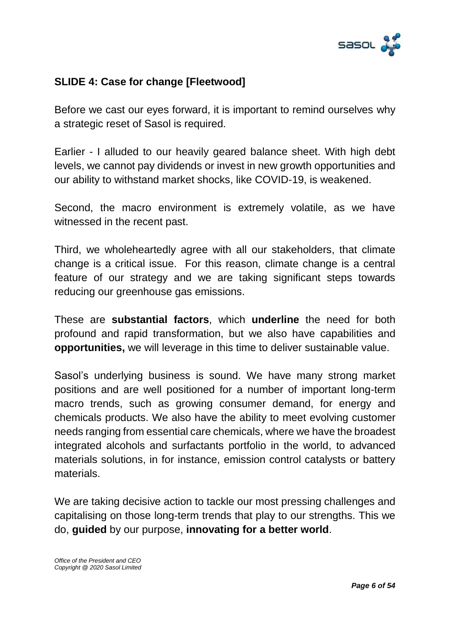

### **SLIDE 4: Case for change [Fleetwood]**

Before we cast our eyes forward, it is important to remind ourselves why a strategic reset of Sasol is required.

Earlier - I alluded to our heavily geared balance sheet. With high debt levels, we cannot pay dividends or invest in new growth opportunities and our ability to withstand market shocks, like COVID-19, is weakened.

Second, the macro environment is extremely volatile, as we have witnessed in the recent past.

Third, we wholeheartedly agree with all our stakeholders, that climate change is a critical issue. For this reason, climate change is a central feature of our strategy and we are taking significant steps towards reducing our greenhouse gas emissions.

These are **substantial factors**, which **underline** the need for both profound and rapid transformation, but we also have capabilities and **opportunities,** we will leverage in this time to deliver sustainable value.

Sasol's underlying business is sound. We have many strong market positions and are well positioned for a number of important long-term macro trends, such as growing consumer demand, for energy and chemicals products. We also have the ability to meet evolving customer needs ranging from essential care chemicals, where we have the broadest integrated alcohols and surfactants portfolio in the world, to advanced materials solutions, in for instance, emission control catalysts or battery materials.

We are taking decisive action to tackle our most pressing challenges and capitalising on those long-term trends that play to our strengths. This we do, **guided** by our purpose, **innovating for a better world**.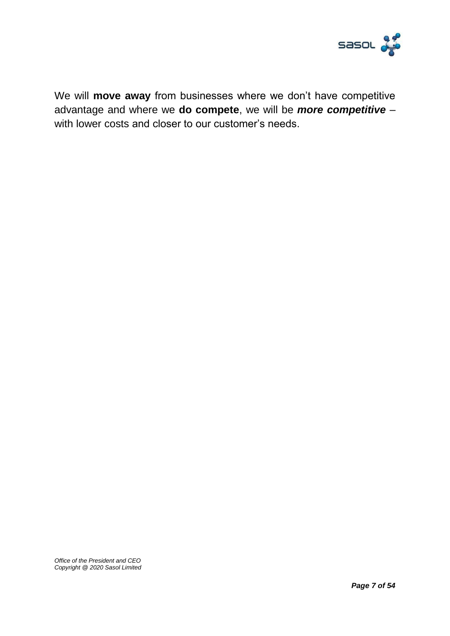

We will **move away** from businesses where we don't have competitive advantage and where we **do compete**, we will be *more competitive* – with lower costs and closer to our customer's needs.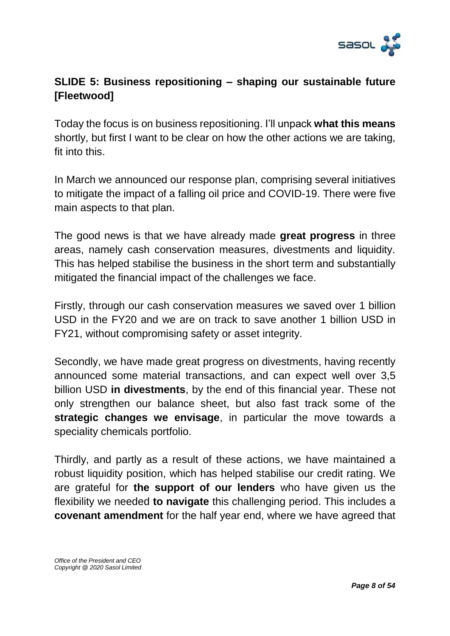

# **SLIDE 5: Business repositioning – shaping our sustainable future [Fleetwood]**

Today the focus is on business repositioning. I'll unpack **what this means** shortly, but first I want to be clear on how the other actions we are taking, fit into this.

In March we announced our response plan, comprising several initiatives to mitigate the impact of a falling oil price and COVID-19. There were five main aspects to that plan.

The good news is that we have already made **great progress** in three areas, namely cash conservation measures, divestments and liquidity. This has helped stabilise the business in the short term and substantially mitigated the financial impact of the challenges we face.

Firstly, through our cash conservation measures we saved over 1 billion USD in the FY20 and we are on track to save another 1 billion USD in FY21, without compromising safety or asset integrity.

Secondly, we have made great progress on divestments, having recently announced some material transactions, and can expect well over 3,5 billion USD **in divestments**, by the end of this financial year. These not only strengthen our balance sheet, but also fast track some of the **strategic changes we envisage**, in particular the move towards a speciality chemicals portfolio.

Thirdly, and partly as a result of these actions, we have maintained a robust liquidity position, which has helped stabilise our credit rating. We are grateful for **the support of our lenders** who have given us the flexibility we needed **to navigate** this challenging period. This includes a **covenant amendment** for the half year end, where we have agreed that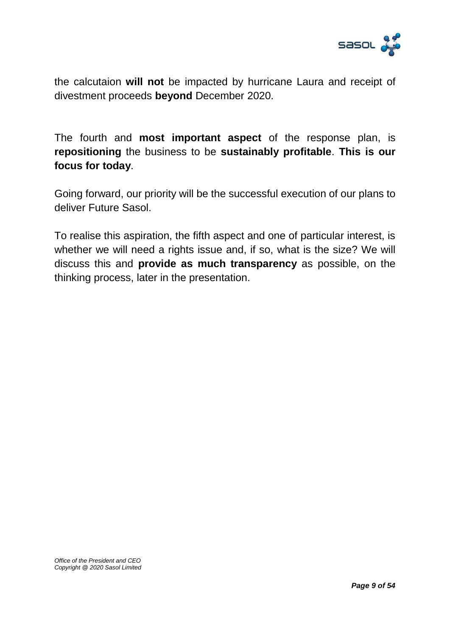

the calcutaion **will not** be impacted by hurricane Laura and receipt of divestment proceeds **beyond** December 2020.

The fourth and **most important aspect** of the response plan, is **repositioning** the business to be **sustainably profitable**. **This is our focus for today**.

Going forward, our priority will be the successful execution of our plans to deliver Future Sasol.

To realise this aspiration, the fifth aspect and one of particular interest, is whether we will need a rights issue and, if so, what is the size? We will discuss this and **provide as much transparency** as possible, on the thinking process, later in the presentation.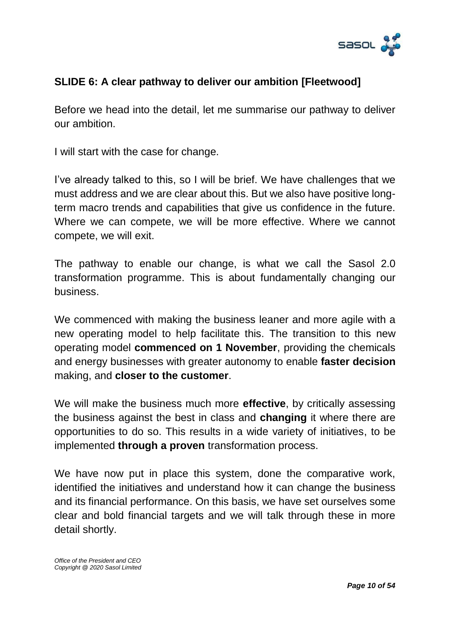

### **SLIDE 6: A clear pathway to deliver our ambition [Fleetwood]**

Before we head into the detail, let me summarise our pathway to deliver our ambition.

I will start with the case for change.

I've already talked to this, so I will be brief. We have challenges that we must address and we are clear about this. But we also have positive longterm macro trends and capabilities that give us confidence in the future. Where we can compete, we will be more effective. Where we cannot compete, we will exit.

The pathway to enable our change, is what we call the Sasol 2.0 transformation programme. This is about fundamentally changing our business.

We commenced with making the business leaner and more agile with a new operating model to help facilitate this. The transition to this new operating model **commenced on 1 November**, providing the chemicals and energy businesses with greater autonomy to enable **faster decision** making, and **closer to the customer**.

We will make the business much more **effective**, by critically assessing the business against the best in class and **changing** it where there are opportunities to do so. This results in a wide variety of initiatives, to be implemented **through a proven** transformation process.

We have now put in place this system, done the comparative work, identified the initiatives and understand how it can change the business and its financial performance. On this basis, we have set ourselves some clear and bold financial targets and we will talk through these in more detail shortly.

*Office of the President and CEO Copyright @ 2020 Sasol Limited*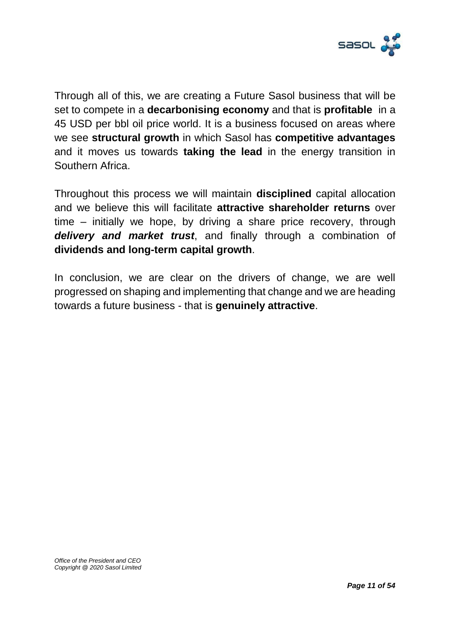

Through all of this, we are creating a Future Sasol business that will be set to compete in a **decarbonising economy** and that is **profitable** in a 45 USD per bbl oil price world. It is a business focused on areas where we see **structural growth** in which Sasol has **competitive advantages** and it moves us towards **taking the lead** in the energy transition in Southern Africa.

Throughout this process we will maintain **disciplined** capital allocation and we believe this will facilitate **attractive shareholder returns** over time – initially we hope, by driving a share price recovery, through *delivery and market trust*, and finally through a combination of **dividends and long-term capital growth**.

In conclusion, we are clear on the drivers of change, we are well progressed on shaping and implementing that change and we are heading towards a future business - that is **genuinely attractive**.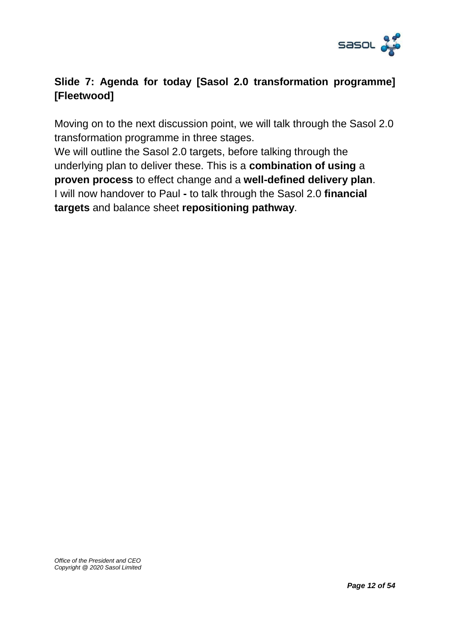

# **Slide 7: Agenda for today [Sasol 2.0 transformation programme] [Fleetwood]**

Moving on to the next discussion point, we will talk through the Sasol 2.0 transformation programme in three stages.

We will outline the Sasol 2.0 targets, before talking through the underlying plan to deliver these. This is a **combination of using** a **proven process** to effect change and a **well-defined delivery plan**. I will now handover to Paul **-** to talk through the Sasol 2.0 **financial targets** and balance sheet **repositioning pathway**.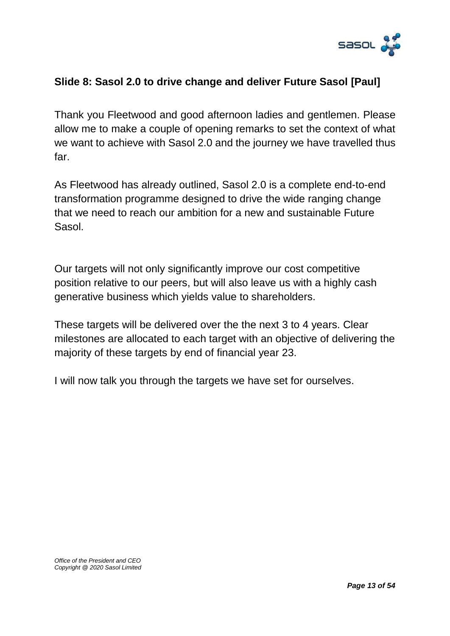

### **Slide 8: Sasol 2.0 to drive change and deliver Future Sasol [Paul]**

Thank you Fleetwood and good afternoon ladies and gentlemen. Please allow me to make a couple of opening remarks to set the context of what we want to achieve with Sasol 2.0 and the journey we have travelled thus far.

As Fleetwood has already outlined, Sasol 2.0 is a complete end-to-end transformation programme designed to drive the wide ranging change that we need to reach our ambition for a new and sustainable Future Sasol.

Our targets will not only significantly improve our cost competitive position relative to our peers, but will also leave us with a highly cash generative business which yields value to shareholders.

These targets will be delivered over the the next 3 to 4 years. Clear milestones are allocated to each target with an objective of delivering the majority of these targets by end of financial year 23.

I will now talk you through the targets we have set for ourselves.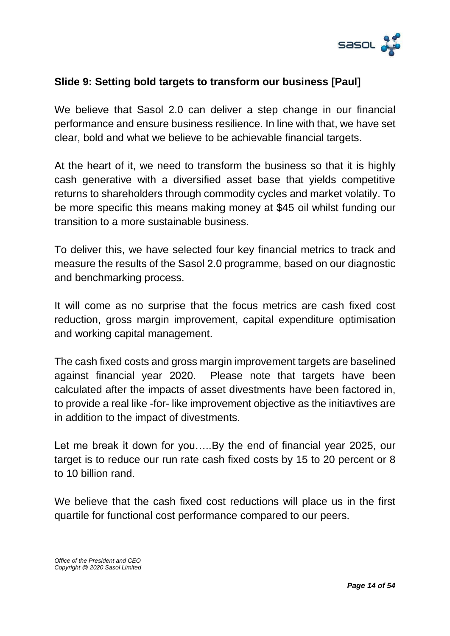

### **Slide 9: Setting bold targets to transform our business [Paul]**

We believe that Sasol 2.0 can deliver a step change in our financial performance and ensure business resilience. In line with that, we have set clear, bold and what we believe to be achievable financial targets.

At the heart of it, we need to transform the business so that it is highly cash generative with a diversified asset base that yields competitive returns to shareholders through commodity cycles and market volatily. To be more specific this means making money at \$45 oil whilst funding our transition to a more sustainable business.

To deliver this, we have selected four key financial metrics to track and measure the results of the Sasol 2.0 programme, based on our diagnostic and benchmarking process.

It will come as no surprise that the focus metrics are cash fixed cost reduction, gross margin improvement, capital expenditure optimisation and working capital management.

The cash fixed costs and gross margin improvement targets are baselined against financial year 2020. Please note that targets have been calculated after the impacts of asset divestments have been factored in, to provide a real like -for- like improvement objective as the initiavtives are in addition to the impact of divestments.

Let me break it down for you…..By the end of financial year 2025, our target is to reduce our run rate cash fixed costs by 15 to 20 percent or 8 to 10 billion rand.

We believe that the cash fixed cost reductions will place us in the first quartile for functional cost performance compared to our peers.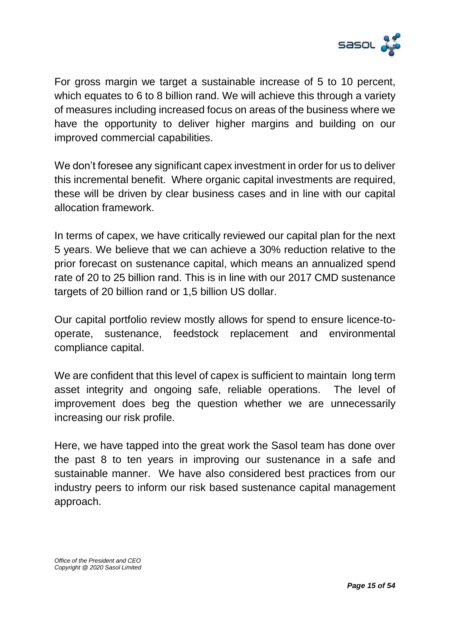

For gross margin we target a sustainable increase of 5 to 10 percent, which equates to 6 to 8 billion rand. We will achieve this through a variety of measures including increased focus on areas of the business where we have the opportunity to deliver higher margins and building on our improved commercial capabilities.

We don't foresee any significant capex investment in order for us to deliver this incremental benefit. Where organic capital investments are required, these will be driven by clear business cases and in line with our capital allocation framework.

In terms of capex, we have critically reviewed our capital plan for the next 5 years. We believe that we can achieve a 30% reduction relative to the prior forecast on sustenance capital, which means an annualized spend rate of 20 to 25 billion rand. This is in line with our 2017 CMD sustenance targets of 20 billion rand or 1,5 billion US dollar.

Our capital portfolio review mostly allows for spend to ensure licence-tooperate, sustenance, feedstock replacement and environmental compliance capital.

We are confident that this level of capex is sufficient to maintain long term asset integrity and ongoing safe, reliable operations. The level of improvement does beg the question whether we are unnecessarily increasing our risk profile.

Here, we have tapped into the great work the Sasol team has done over the past 8 to ten years in improving our sustenance in a safe and sustainable manner. We have also considered best practices from our industry peers to inform our risk based sustenance capital management approach.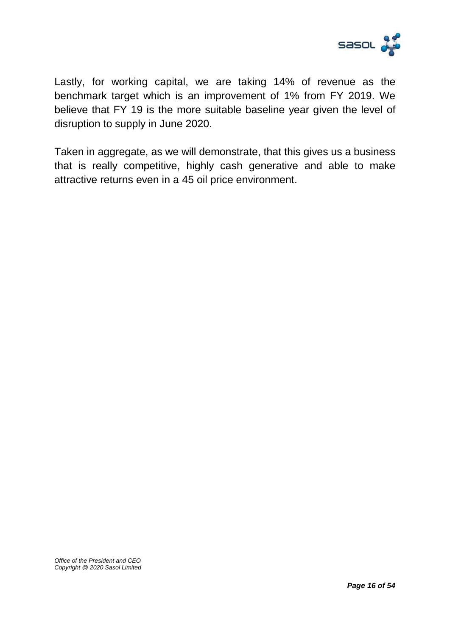

Lastly, for working capital, we are taking 14% of revenue as the benchmark target which is an improvement of 1% from FY 2019. We believe that FY 19 is the more suitable baseline year given the level of disruption to supply in June 2020.

Taken in aggregate, as we will demonstrate, that this gives us a business that is really competitive, highly cash generative and able to make attractive returns even in a 45 oil price environment.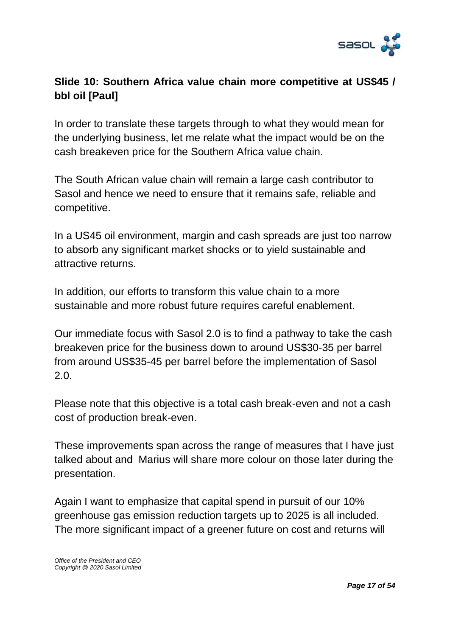

# **Slide 10: Southern Africa value chain more competitive at US\$45 / bbl oil [Paul]**

In order to translate these targets through to what they would mean for the underlying business, let me relate what the impact would be on the cash breakeven price for the Southern Africa value chain.

The South African value chain will remain a large cash contributor to Sasol and hence we need to ensure that it remains safe, reliable and competitive.

In a US45 oil environment, margin and cash spreads are just too narrow to absorb any significant market shocks or to yield sustainable and attractive returns.

In addition, our efforts to transform this value chain to a more sustainable and more robust future requires careful enablement.

Our immediate focus with Sasol 2.0 is to find a pathway to take the cash breakeven price for the business down to around US\$30-35 per barrel from around US\$35-45 per barrel before the implementation of Sasol 2.0.

Please note that this objective is a total cash break-even and not a cash cost of production break-even.

These improvements span across the range of measures that I have just talked about and Marius will share more colour on those later during the presentation.

Again I want to emphasize that capital spend in pursuit of our 10% greenhouse gas emission reduction targets up to 2025 is all included. The more significant impact of a greener future on cost and returns will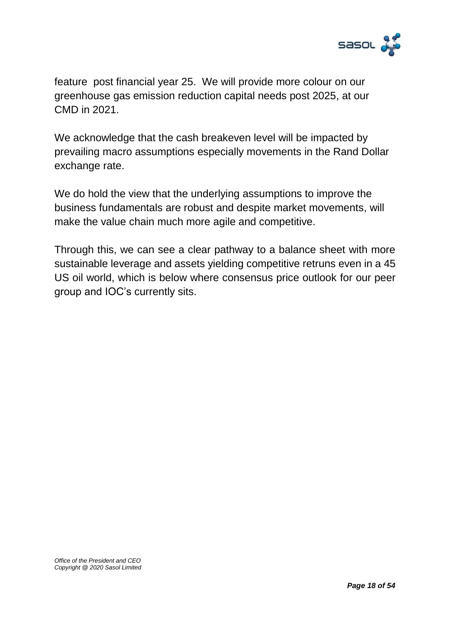

feature post financial year 25. We will provide more colour on our greenhouse gas emission reduction capital needs post 2025, at our CMD in 2021.

We acknowledge that the cash breakeven level will be impacted by prevailing macro assumptions especially movements in the Rand Dollar exchange rate.

We do hold the view that the underlying assumptions to improve the business fundamentals are robust and despite market movements, will make the value chain much more agile and competitive.

Through this, we can see a clear pathway to a balance sheet with more sustainable leverage and assets yielding competitive retruns even in a 45 US oil world, which is below where consensus price outlook for our peer group and IOC's currently sits.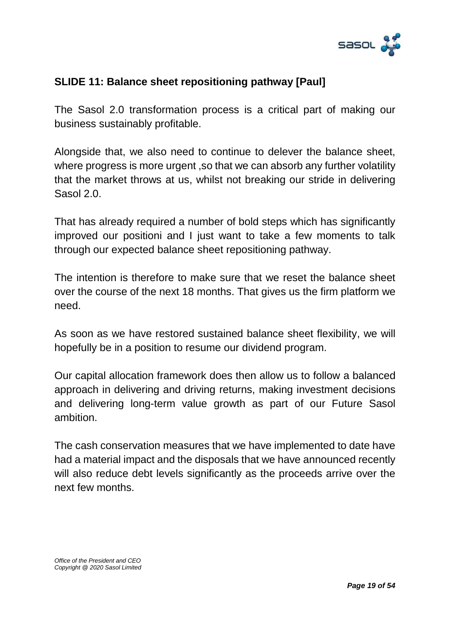

### **SLIDE 11: Balance sheet repositioning pathway [Paul]**

The Sasol 2.0 transformation process is a critical part of making our business sustainably profitable.

Alongside that, we also need to continue to delever the balance sheet, where progress is more urgent ,so that we can absorb any further volatility that the market throws at us, whilst not breaking our stride in delivering Sasol 2.0.

That has already required a number of bold steps which has significantly improved our positioni and I just want to take a few moments to talk through our expected balance sheet repositioning pathway.

The intention is therefore to make sure that we reset the balance sheet over the course of the next 18 months. That gives us the firm platform we need.

As soon as we have restored sustained balance sheet flexibility, we will hopefully be in a position to resume our dividend program.

Our capital allocation framework does then allow us to follow a balanced approach in delivering and driving returns, making investment decisions and delivering long-term value growth as part of our Future Sasol ambition.

The cash conservation measures that we have implemented to date have had a material impact and the disposals that we have announced recently will also reduce debt levels significantly as the proceeds arrive over the next few months.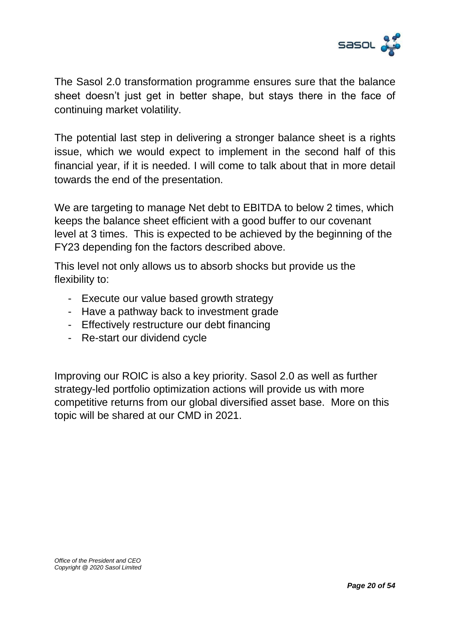

The Sasol 2.0 transformation programme ensures sure that the balance sheet doesn't just get in better shape, but stays there in the face of continuing market volatility.

The potential last step in delivering a stronger balance sheet is a rights issue, which we would expect to implement in the second half of this financial year, if it is needed. I will come to talk about that in more detail towards the end of the presentation.

We are targeting to manage Net debt to EBITDA to below 2 times, which keeps the balance sheet efficient with a good buffer to our covenant level at 3 times. This is expected to be achieved by the beginning of the FY23 depending fon the factors described above.

This level not only allows us to absorb shocks but provide us the flexibility to:

- Execute our value based growth strategy
- Have a pathway back to investment grade
- Effectively restructure our debt financing
- Re-start our dividend cycle

Improving our ROIC is also a key priority. Sasol 2.0 as well as further strategy-led portfolio optimization actions will provide us with more competitive returns from our global diversified asset base. More on this topic will be shared at our CMD in 2021.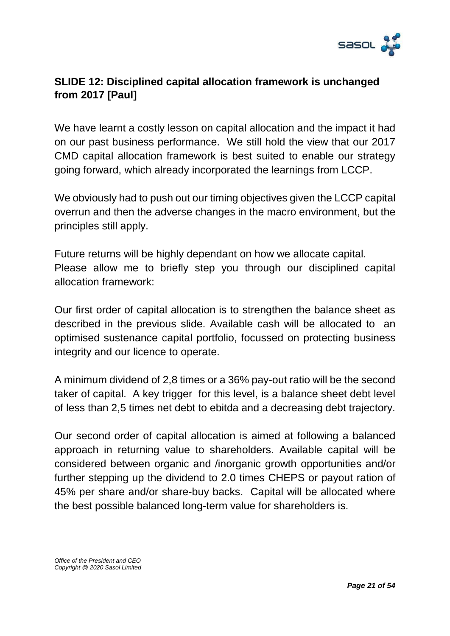

### **SLIDE 12: Disciplined capital allocation framework is unchanged from 2017 [Paul]**

We have learnt a costly lesson on capital allocation and the impact it had on our past business performance. We still hold the view that our 2017 CMD capital allocation framework is best suited to enable our strategy going forward, which already incorporated the learnings from LCCP.

We obviously had to push out our timing objectives given the LCCP capital overrun and then the adverse changes in the macro environment, but the principles still apply.

Future returns will be highly dependant on how we allocate capital. Please allow me to briefly step you through our disciplined capital allocation framework:

Our first order of capital allocation is to strengthen the balance sheet as described in the previous slide. Available cash will be allocated to an optimised sustenance capital portfolio, focussed on protecting business integrity and our licence to operate.

A minimum dividend of 2,8 times or a 36% pay-out ratio will be the second taker of capital. A key trigger for this level, is a balance sheet debt level of less than 2,5 times net debt to ebitda and a decreasing debt trajectory.

Our second order of capital allocation is aimed at following a balanced approach in returning value to shareholders. Available capital will be considered between organic and /inorganic growth opportunities and/or further stepping up the dividend to 2.0 times CHEPS or payout ration of 45% per share and/or share-buy backs. Capital will be allocated where the best possible balanced long-term value for shareholders is.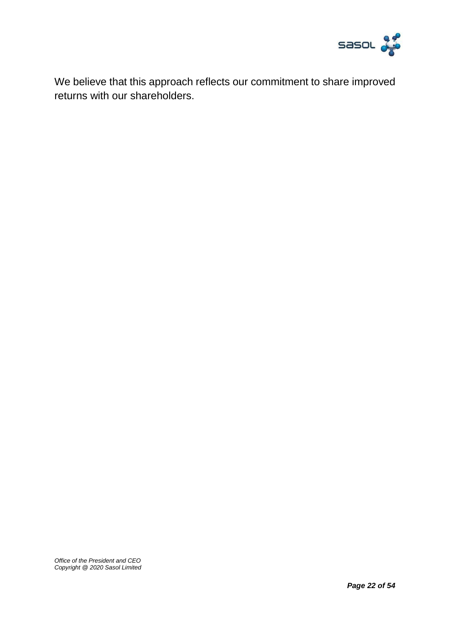

We believe that this approach reflects our commitment to share improved returns with our shareholders.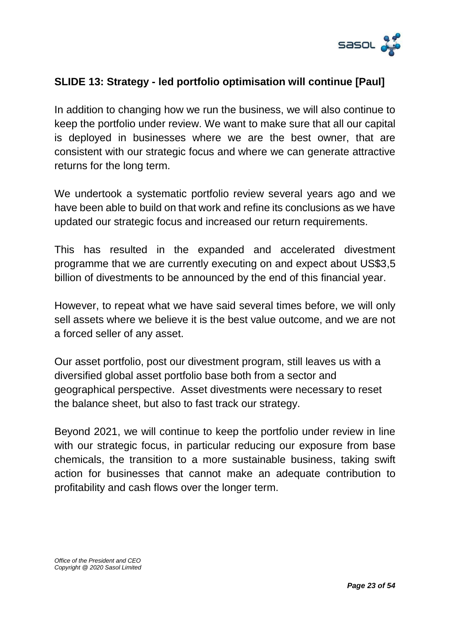

#### **SLIDE 13: Strategy - led portfolio optimisation will continue [Paul]**

In addition to changing how we run the business, we will also continue to keep the portfolio under review. We want to make sure that all our capital is deployed in businesses where we are the best owner, that are consistent with our strategic focus and where we can generate attractive returns for the long term.

We undertook a systematic portfolio review several years ago and we have been able to build on that work and refine its conclusions as we have updated our strategic focus and increased our return requirements.

This has resulted in the expanded and accelerated divestment programme that we are currently executing on and expect about US\$3,5 billion of divestments to be announced by the end of this financial year.

However, to repeat what we have said several times before, we will only sell assets where we believe it is the best value outcome, and we are not a forced seller of any asset.

Our asset portfolio, post our divestment program, still leaves us with a diversified global asset portfolio base both from a sector and geographical perspective. Asset divestments were necessary to reset the balance sheet, but also to fast track our strategy.

Beyond 2021, we will continue to keep the portfolio under review in line with our strategic focus, in particular reducing our exposure from base chemicals, the transition to a more sustainable business, taking swift action for businesses that cannot make an adequate contribution to profitability and cash flows over the longer term.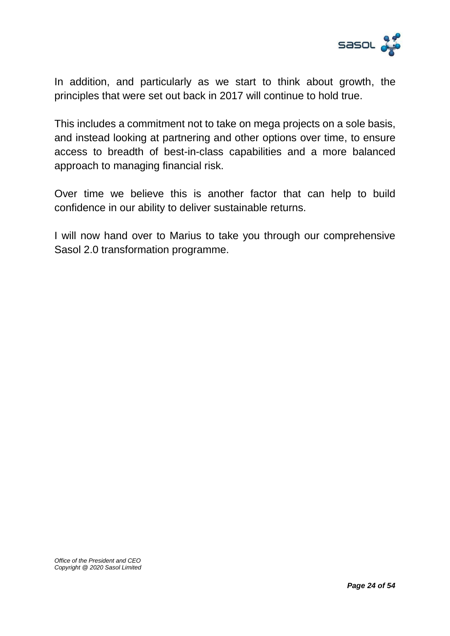

In addition, and particularly as we start to think about growth, the principles that were set out back in 2017 will continue to hold true.

This includes a commitment not to take on mega projects on a sole basis, and instead looking at partnering and other options over time, to ensure access to breadth of best-in-class capabilities and a more balanced approach to managing financial risk.

Over time we believe this is another factor that can help to build confidence in our ability to deliver sustainable returns.

I will now hand over to Marius to take you through our comprehensive Sasol 2.0 transformation programme.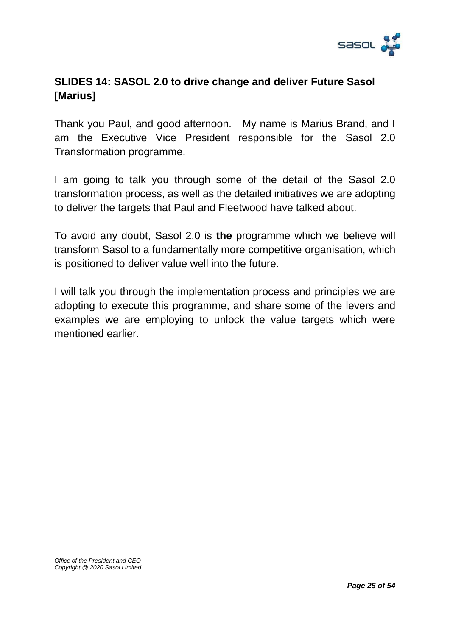

# **SLIDES 14: SASOL 2.0 to drive change and deliver Future Sasol [Marius]**

Thank you Paul, and good afternoon. My name is Marius Brand, and I am the Executive Vice President responsible for the Sasol 2.0 Transformation programme.

I am going to talk you through some of the detail of the Sasol 2.0 transformation process, as well as the detailed initiatives we are adopting to deliver the targets that Paul and Fleetwood have talked about.

To avoid any doubt, Sasol 2.0 is **the** programme which we believe will transform Sasol to a fundamentally more competitive organisation, which is positioned to deliver value well into the future.

I will talk you through the implementation process and principles we are adopting to execute this programme, and share some of the levers and examples we are employing to unlock the value targets which were mentioned earlier.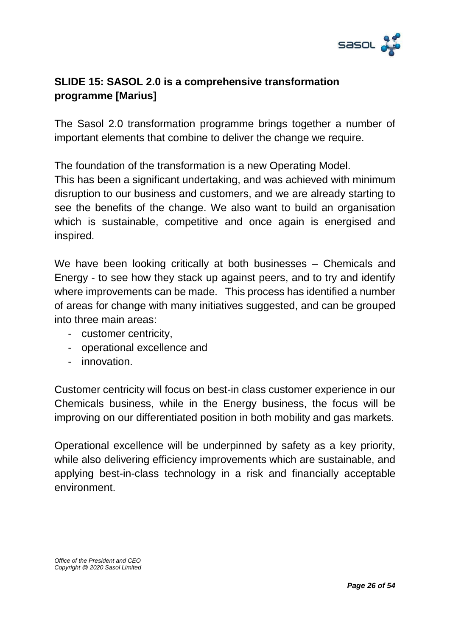

# **SLIDE 15: SASOL 2.0 is a comprehensive transformation programme [Marius]**

The Sasol 2.0 transformation programme brings together a number of important elements that combine to deliver the change we require.

The foundation of the transformation is a new Operating Model.

This has been a significant undertaking, and was achieved with minimum disruption to our business and customers, and we are already starting to see the benefits of the change. We also want to build an organisation which is sustainable, competitive and once again is energised and inspired.

We have been looking critically at both businesses – Chemicals and Energy - to see how they stack up against peers, and to try and identify where improvements can be made. This process has identified a number of areas for change with many initiatives suggested, and can be grouped into three main areas:

- customer centricity,
- operational excellence and
- innovation.

Customer centricity will focus on best-in class customer experience in our Chemicals business, while in the Energy business, the focus will be improving on our differentiated position in both mobility and gas markets.

Operational excellence will be underpinned by safety as a key priority, while also delivering efficiency improvements which are sustainable, and applying best-in-class technology in a risk and financially acceptable environment.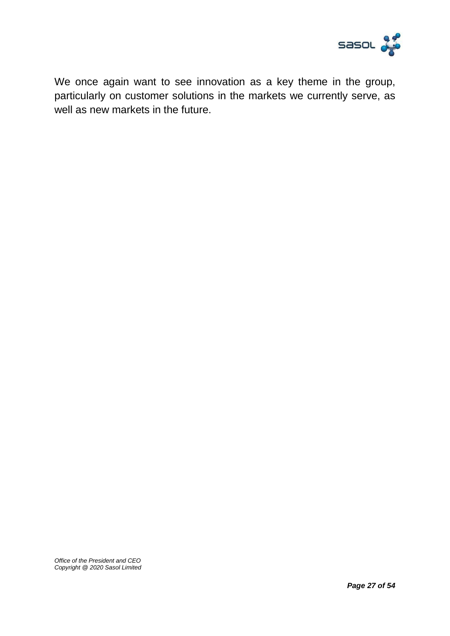

We once again want to see innovation as a key theme in the group, particularly on customer solutions in the markets we currently serve, as well as new markets in the future.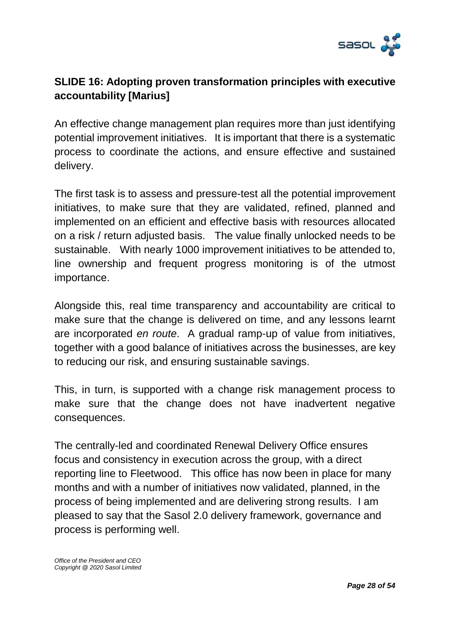

# **SLIDE 16: Adopting proven transformation principles with executive accountability [Marius]**

An effective change management plan requires more than just identifying potential improvement initiatives. It is important that there is a systematic process to coordinate the actions, and ensure effective and sustained delivery.

The first task is to assess and pressure-test all the potential improvement initiatives, to make sure that they are validated, refined, planned and implemented on an efficient and effective basis with resources allocated on a risk / return adjusted basis. The value finally unlocked needs to be sustainable. With nearly 1000 improvement initiatives to be attended to, line ownership and frequent progress monitoring is of the utmost importance.

Alongside this, real time transparency and accountability are critical to make sure that the change is delivered on time, and any lessons learnt are incorporated *en route*. A gradual ramp-up of value from initiatives, together with a good balance of initiatives across the businesses, are key to reducing our risk, and ensuring sustainable savings.

This, in turn, is supported with a change risk management process to make sure that the change does not have inadvertent negative consequences.

The centrally-led and coordinated Renewal Delivery Office ensures focus and consistency in execution across the group, with a direct reporting line to Fleetwood. This office has now been in place for many months and with a number of initiatives now validated, planned, in the process of being implemented and are delivering strong results. I am pleased to say that the Sasol 2.0 delivery framework, governance and process is performing well.

*Office of the President and CEO Copyright @ 2020 Sasol Limited*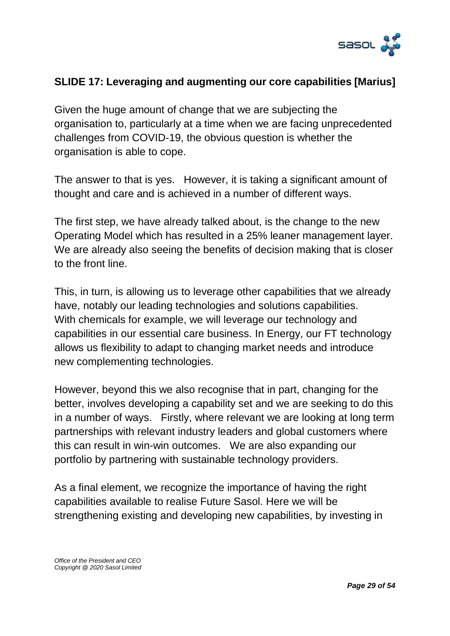

### **SLIDE 17: Leveraging and augmenting our core capabilities [Marius]**

Given the huge amount of change that we are subjecting the organisation to, particularly at a time when we are facing unprecedented challenges from COVID-19, the obvious question is whether the organisation is able to cope.

The answer to that is yes. However, it is taking a significant amount of thought and care and is achieved in a number of different ways.

The first step, we have already talked about, is the change to the new Operating Model which has resulted in a 25% leaner management layer. We are already also seeing the benefits of decision making that is closer to the front line.

This, in turn, is allowing us to leverage other capabilities that we already have, notably our leading technologies and solutions capabilities. With chemicals for example, we will leverage our technology and capabilities in our essential care business. In Energy, our FT technology allows us flexibility to adapt to changing market needs and introduce new complementing technologies.

However, beyond this we also recognise that in part, changing for the better, involves developing a capability set and we are seeking to do this in a number of ways. Firstly, where relevant we are looking at long term partnerships with relevant industry leaders and global customers where this can result in win-win outcomes. We are also expanding our portfolio by partnering with sustainable technology providers.

As a final element, we recognize the importance of having the right capabilities available to realise Future Sasol. Here we will be strengthening existing and developing new capabilities, by investing in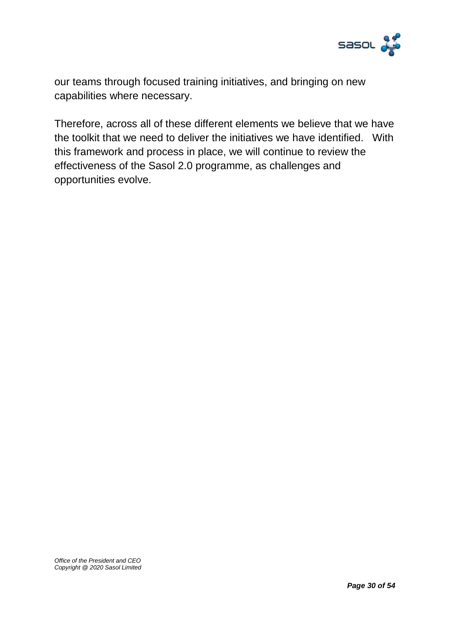

our teams through focused training initiatives, and bringing on new capabilities where necessary.

Therefore, across all of these different elements we believe that we have the toolkit that we need to deliver the initiatives we have identified. With this framework and process in place, we will continue to review the effectiveness of the Sasol 2.0 programme, as challenges and opportunities evolve.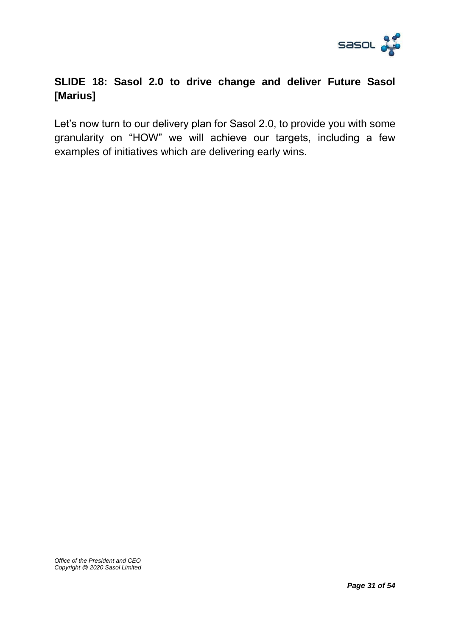

# **SLIDE 18: Sasol 2.0 to drive change and deliver Future Sasol [Marius]**

Let's now turn to our delivery plan for Sasol 2.0, to provide you with some granularity on "HOW" we will achieve our targets, including a few examples of initiatives which are delivering early wins.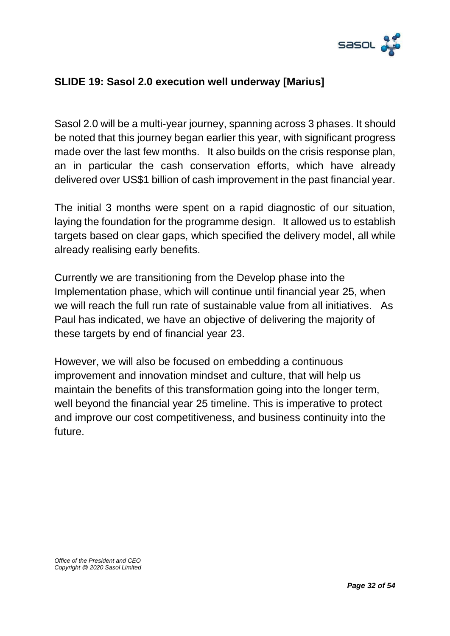

### **SLIDE 19: Sasol 2.0 execution well underway [Marius]**

Sasol 2.0 will be a multi-year journey, spanning across 3 phases. It should be noted that this journey began earlier this year, with significant progress made over the last few months. It also builds on the crisis response plan, an in particular the cash conservation efforts, which have already delivered over US\$1 billion of cash improvement in the past financial year.

The initial 3 months were spent on a rapid diagnostic of our situation, laying the foundation for the programme design. It allowed us to establish targets based on clear gaps, which specified the delivery model, all while already realising early benefits.

Currently we are transitioning from the Develop phase into the Implementation phase, which will continue until financial year 25, when we will reach the full run rate of sustainable value from all initiatives. As Paul has indicated, we have an objective of delivering the majority of these targets by end of financial year 23.

However, we will also be focused on embedding a continuous improvement and innovation mindset and culture, that will help us maintain the benefits of this transformation going into the longer term, well beyond the financial year 25 timeline. This is imperative to protect and improve our cost competitiveness, and business continuity into the future.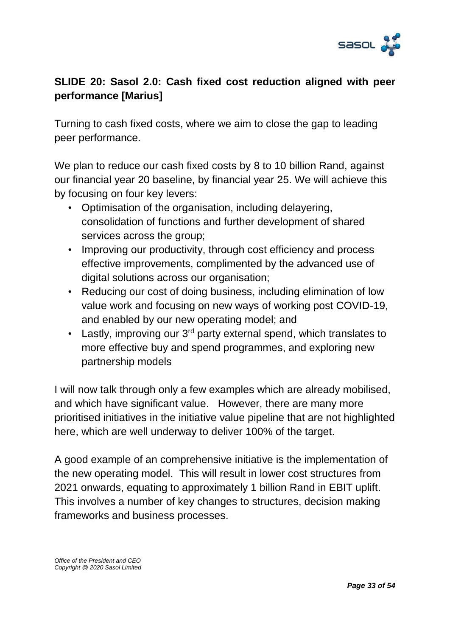

# **SLIDE 20: Sasol 2.0: Cash fixed cost reduction aligned with peer performance [Marius]**

Turning to cash fixed costs, where we aim to close the gap to leading peer performance.

We plan to reduce our cash fixed costs by 8 to 10 billion Rand, against our financial year 20 baseline, by financial year 25. We will achieve this by focusing on four key levers:

- Optimisation of the organisation, including delayering, consolidation of functions and further development of shared services across the group;
- Improving our productivity, through cost efficiency and process effective improvements, complimented by the advanced use of digital solutions across our organisation;
- Reducing our cost of doing business, including elimination of low value work and focusing on new ways of working post COVID-19, and enabled by our new operating model; and
- Lastly, improving our 3<sup>rd</sup> party external spend, which translates to more effective buy and spend programmes, and exploring new partnership models

I will now talk through only a few examples which are already mobilised, and which have significant value. However, there are many more prioritised initiatives in the initiative value pipeline that are not highlighted here, which are well underway to deliver 100% of the target.

A good example of an comprehensive initiative is the implementation of the new operating model. This will result in lower cost structures from 2021 onwards, equating to approximately 1 billion Rand in EBIT uplift. This involves a number of key changes to structures, decision making frameworks and business processes.

*Office of the President and CEO Copyright @ 2020 Sasol Limited*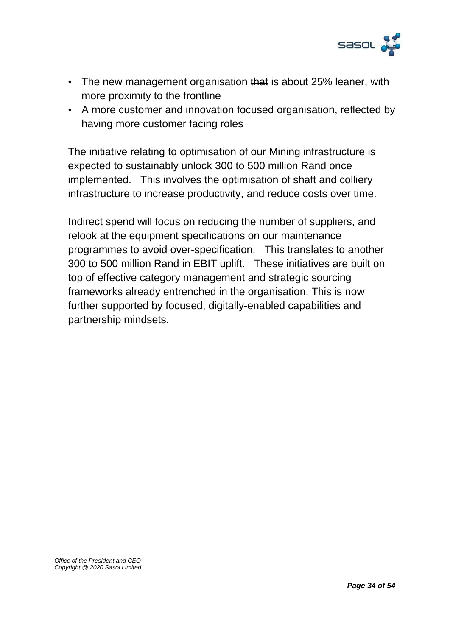

- The new management organisation that is about 25% leaner, with more proximity to the frontline
- A more customer and innovation focused organisation, reflected by having more customer facing roles

The initiative relating to optimisation of our Mining infrastructure is expected to sustainably unlock 300 to 500 million Rand once implemented. This involves the optimisation of shaft and colliery infrastructure to increase productivity, and reduce costs over time.

Indirect spend will focus on reducing the number of suppliers, and relook at the equipment specifications on our maintenance programmes to avoid over-specification. This translates to another 300 to 500 million Rand in EBIT uplift. These initiatives are built on top of effective category management and strategic sourcing frameworks already entrenched in the organisation. This is now further supported by focused, digitally-enabled capabilities and partnership mindsets.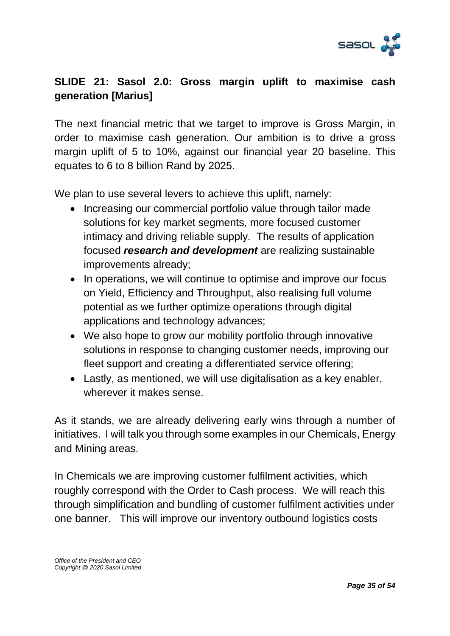

# **SLIDE 21: Sasol 2.0: Gross margin uplift to maximise cash generation [Marius]**

The next financial metric that we target to improve is Gross Margin, in order to maximise cash generation. Our ambition is to drive a gross margin uplift of 5 to 10%, against our financial year 20 baseline. This equates to 6 to 8 billion Rand by 2025.

We plan to use several levers to achieve this uplift, namely:

- Increasing our commercial portfolio value through tailor made solutions for key market segments, more focused customer intimacy and driving reliable supply. The results of application focused *research and development* are realizing sustainable improvements already;
- In operations, we will continue to optimise and improve our focus on Yield, Efficiency and Throughput, also realising full volume potential as we further optimize operations through digital applications and technology advances;
- We also hope to grow our mobility portfolio through innovative solutions in response to changing customer needs, improving our fleet support and creating a differentiated service offering;
- Lastly, as mentioned, we will use digitalisation as a key enabler, wherever it makes sense.

As it stands, we are already delivering early wins through a number of initiatives. I will talk you through some examples in our Chemicals, Energy and Mining areas.

In Chemicals we are improving customer fulfilment activities, which roughly correspond with the Order to Cash process. We will reach this through simplification and bundling of customer fulfilment activities under one banner. This will improve our inventory outbound logistics costs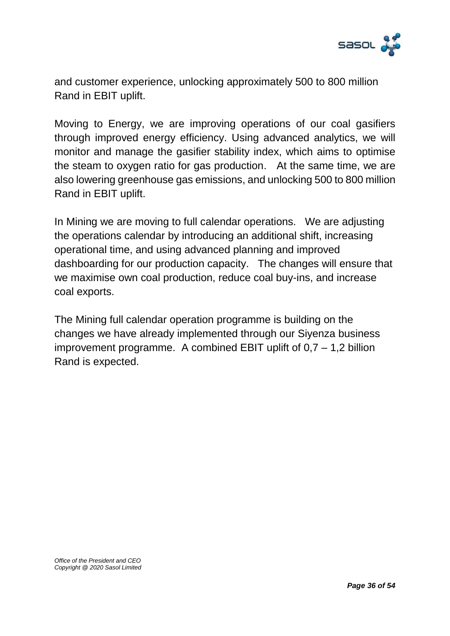

and customer experience, unlocking approximately 500 to 800 million Rand in EBIT uplift.

Moving to Energy, we are improving operations of our coal gasifiers through improved energy efficiency. Using advanced analytics, we will monitor and manage the gasifier stability index, which aims to optimise the steam to oxygen ratio for gas production. At the same time, we are also lowering greenhouse gas emissions, and unlocking 500 to 800 million Rand in EBIT uplift.

In Mining we are moving to full calendar operations. We are adjusting the operations calendar by introducing an additional shift, increasing operational time, and using advanced planning and improved dashboarding for our production capacity. The changes will ensure that we maximise own coal production, reduce coal buy-ins, and increase coal exports.

The Mining full calendar operation programme is building on the changes we have already implemented through our Siyenza business improvement programme. A combined EBIT uplift of  $0.7 - 1.2$  billion Rand is expected.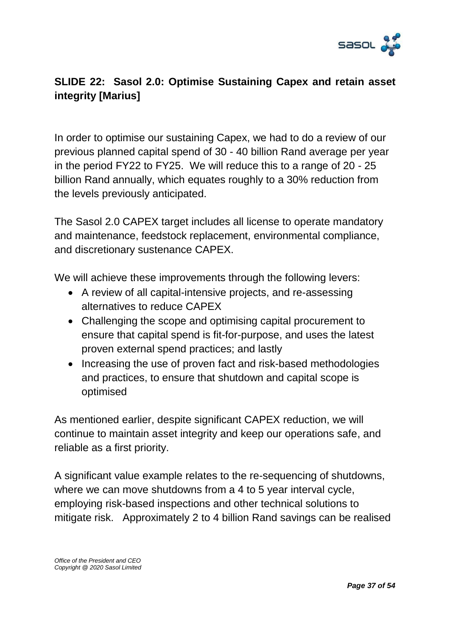

# **SLIDE 22: Sasol 2.0: Optimise Sustaining Capex and retain asset integrity [Marius]**

In order to optimise our sustaining Capex, we had to do a review of our previous planned capital spend of 30 - 40 billion Rand average per year in the period FY22 to FY25. We will reduce this to a range of 20 - 25 billion Rand annually, which equates roughly to a 30% reduction from the levels previously anticipated.

The Sasol 2.0 CAPEX target includes all license to operate mandatory and maintenance, feedstock replacement, environmental compliance, and discretionary sustenance CAPEX.

We will achieve these improvements through the following levers:

- A review of all capital-intensive projects, and re-assessing alternatives to reduce CAPEX
- Challenging the scope and optimising capital procurement to ensure that capital spend is fit-for-purpose, and uses the latest proven external spend practices; and lastly
- Increasing the use of proven fact and risk-based methodologies and practices, to ensure that shutdown and capital scope is optimised

As mentioned earlier, despite significant CAPEX reduction, we will continue to maintain asset integrity and keep our operations safe, and reliable as a first priority.

A significant value example relates to the re-sequencing of shutdowns, where we can move shutdowns from a 4 to 5 year interval cycle, employing risk-based inspections and other technical solutions to mitigate risk. Approximately 2 to 4 billion Rand savings can be realised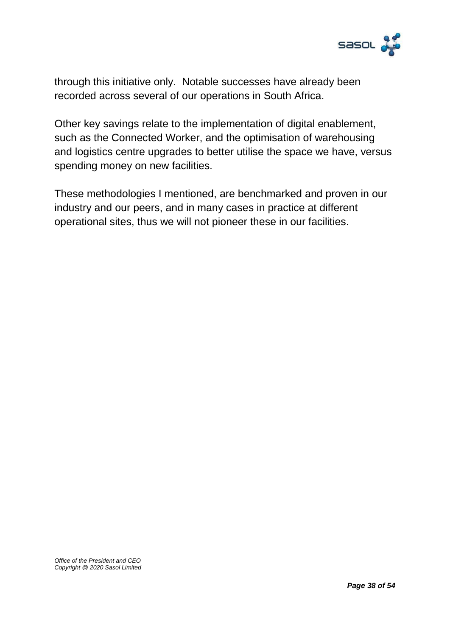

through this initiative only. Notable successes have already been recorded across several of our operations in South Africa.

Other key savings relate to the implementation of digital enablement, such as the Connected Worker, and the optimisation of warehousing and logistics centre upgrades to better utilise the space we have, versus spending money on new facilities.

These methodologies I mentioned, are benchmarked and proven in our industry and our peers, and in many cases in practice at different operational sites, thus we will not pioneer these in our facilities.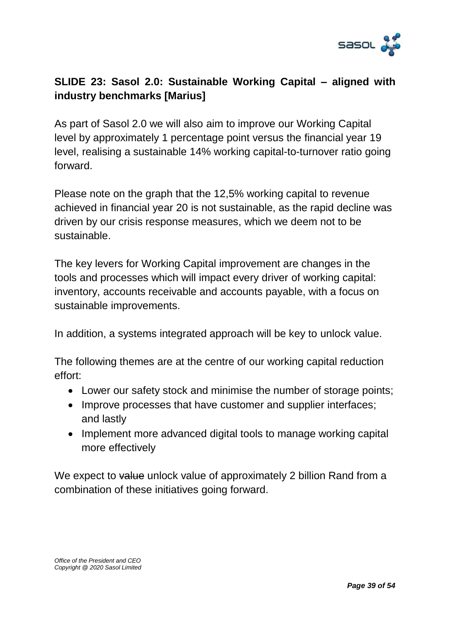

# **SLIDE 23: Sasol 2.0: Sustainable Working Capital – aligned with industry benchmarks [Marius]**

As part of Sasol 2.0 we will also aim to improve our Working Capital level by approximately 1 percentage point versus the financial year 19 level, realising a sustainable 14% working capital-to-turnover ratio going forward.

Please note on the graph that the 12,5% working capital to revenue achieved in financial year 20 is not sustainable, as the rapid decline was driven by our crisis response measures, which we deem not to be sustainable.

The key levers for Working Capital improvement are changes in the tools and processes which will impact every driver of working capital: inventory, accounts receivable and accounts payable, with a focus on sustainable improvements.

In addition, a systems integrated approach will be key to unlock value.

The following themes are at the centre of our working capital reduction effort:

- Lower our safety stock and minimise the number of storage points;
- Improve processes that have customer and supplier interfaces; and lastly
- Implement more advanced digital tools to manage working capital more effectively

We expect to value unlock value of approximately 2 billion Rand from a combination of these initiatives going forward.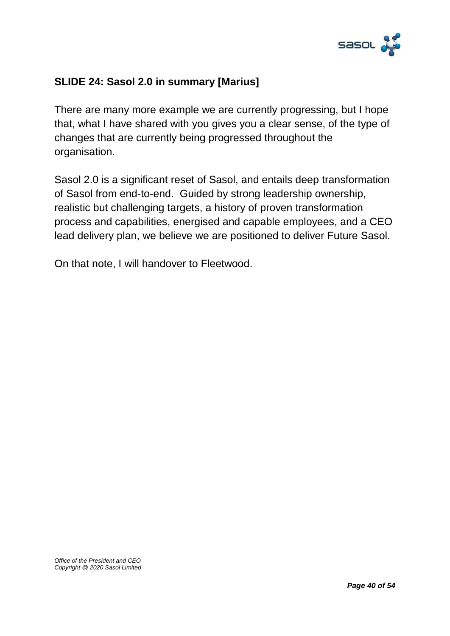

### **SLIDE 24: Sasol 2.0 in summary [Marius]**

There are many more example we are currently progressing, but I hope that, what I have shared with you gives you a clear sense, of the type of changes that are currently being progressed throughout the organisation.

Sasol 2.0 is a significant reset of Sasol, and entails deep transformation of Sasol from end-to-end. Guided by strong leadership ownership, realistic but challenging targets, a history of proven transformation process and capabilities, energised and capable employees, and a CEO lead delivery plan, we believe we are positioned to deliver Future Sasol.

On that note, I will handover to Fleetwood.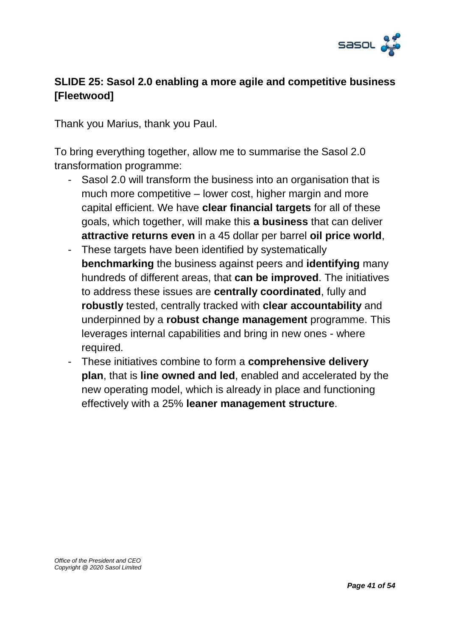

# **SLIDE 25: Sasol 2.0 enabling a more agile and competitive business [Fleetwood]**

Thank you Marius, thank you Paul.

To bring everything together, allow me to summarise the Sasol 2.0 transformation programme:

- Sasol 2.0 will transform the business into an organisation that is much more competitive – lower cost, higher margin and more capital efficient. We have **clear financial targets** for all of these goals, which together, will make this **a business** that can deliver **attractive returns even** in a 45 dollar per barrel **oil price world**,
- These targets have been identified by systematically **benchmarking** the business against peers and **identifying** many hundreds of different areas, that **can be improved**. The initiatives to address these issues are **centrally coordinated**, fully and **robustly** tested, centrally tracked with **clear accountability** and underpinned by a **robust change management** programme. This leverages internal capabilities and bring in new ones - where required.
- These initiatives combine to form a **comprehensive delivery plan**, that is **line owned and led**, enabled and accelerated by the new operating model, which is already in place and functioning effectively with a 25% **leaner management structure**.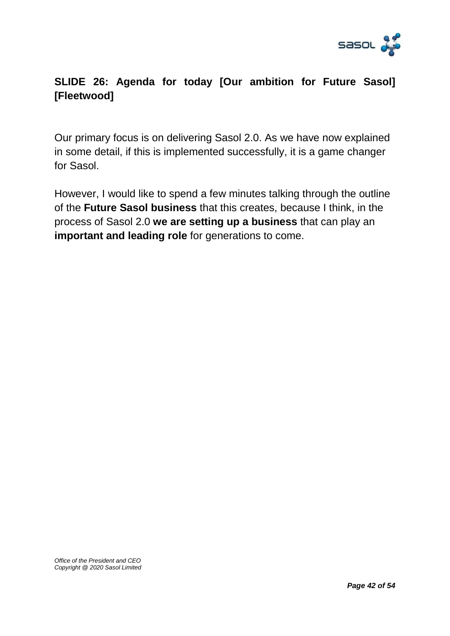

# **SLIDE 26: Agenda for today [Our ambition for Future Sasol] [Fleetwood]**

Our primary focus is on delivering Sasol 2.0. As we have now explained in some detail, if this is implemented successfully, it is a game changer for Sasol.

However, I would like to spend a few minutes talking through the outline of the **Future Sasol business** that this creates, because I think, in the process of Sasol 2.0 **we are setting up a business** that can play an **important and leading role** for generations to come.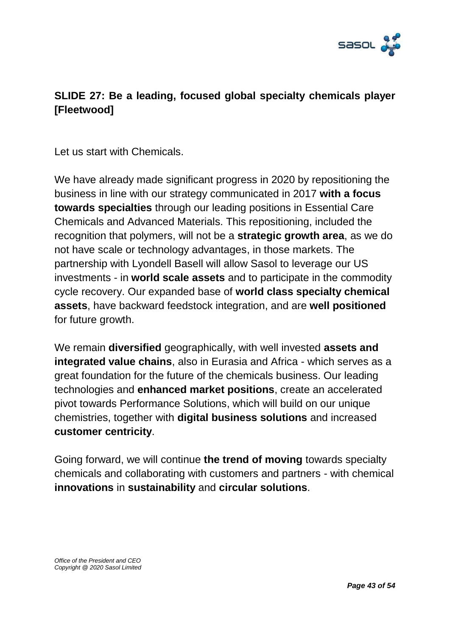

## **SLIDE 27: Be a leading, focused global specialty chemicals player [Fleetwood]**

Let us start with Chemicals.

We have already made significant progress in 2020 by repositioning the business in line with our strategy communicated in 2017 **with a focus towards specialties** through our leading positions in Essential Care Chemicals and Advanced Materials. This repositioning, included the recognition that polymers, will not be a **strategic growth area**, as we do not have scale or technology advantages, in those markets. The partnership with Lyondell Basell will allow Sasol to leverage our US investments - in **world scale assets** and to participate in the commodity cycle recovery. Our expanded base of **world class specialty chemical assets**, have backward feedstock integration, and are **well positioned** for future growth.

We remain **diversified** geographically, with well invested **assets and integrated value chains**, also in Eurasia and Africa - which serves as a great foundation for the future of the chemicals business. Our leading technologies and **enhanced market positions**, create an accelerated pivot towards Performance Solutions, which will build on our unique chemistries, together with **digital business solutions** and increased **customer centricity**.

Going forward, we will continue **the trend of moving** towards specialty chemicals and collaborating with customers and partners - with chemical **innovations** in **sustainability** and **circular solutions**.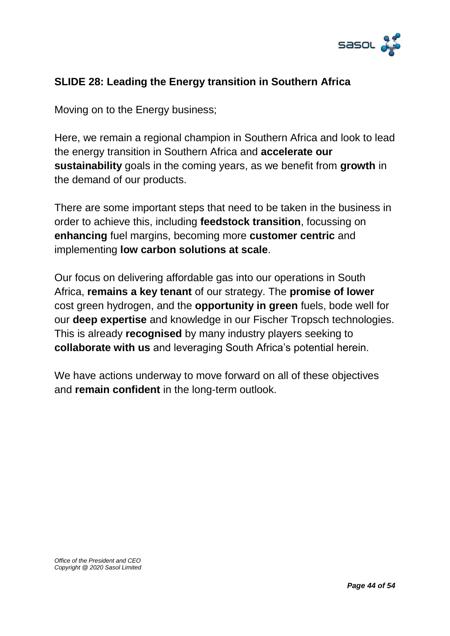

### **SLIDE 28: Leading the Energy transition in Southern Africa**

Moving on to the Energy business;

Here, we remain a regional champion in Southern Africa and look to lead the energy transition in Southern Africa and **accelerate our sustainability** goals in the coming years, as we benefit from **growth** in the demand of our products.

There are some important steps that need to be taken in the business in order to achieve this, including **feedstock transition**, focussing on **enhancing** fuel margins, becoming more **customer centric** and implementing **low carbon solutions at scale**.

Our focus on delivering affordable gas into our operations in South Africa, **remains a key tenant** of our strategy. The **promise of lower** cost green hydrogen, and the **opportunity in green** fuels, bode well for our **deep expertise** and knowledge in our Fischer Tropsch technologies. This is already **recognised** by many industry players seeking to **collaborate with us** and leveraging South Africa's potential herein.

We have actions underway to move forward on all of these objectives and **remain confident** in the long-term outlook.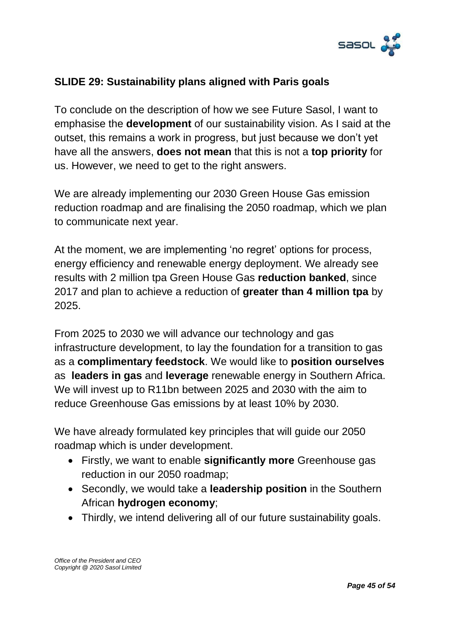

### **SLIDE 29: Sustainability plans aligned with Paris goals**

To conclude on the description of how we see Future Sasol, I want to emphasise the **development** of our sustainability vision. As I said at the outset, this remains a work in progress, but just because we don't yet have all the answers, **does not mean** that this is not a **top priority** for us. However, we need to get to the right answers.

We are already implementing our 2030 Green House Gas emission reduction roadmap and are finalising the 2050 roadmap, which we plan to communicate next year.

At the moment, we are implementing 'no regret' options for process, energy efficiency and renewable energy deployment. We already see results with 2 million tpa Green House Gas **reduction banked**, since 2017 and plan to achieve a reduction of **greater than 4 million tpa** by 2025.

From 2025 to 2030 we will advance our technology and gas infrastructure development, to lay the foundation for a transition to gas as a **complimentary feedstock**. We would like to **position ourselves** as **leaders in gas** and **leverage** renewable energy in Southern Africa. We will invest up to R11bn between 2025 and 2030 with the aim to reduce Greenhouse Gas emissions by at least 10% by 2030.

We have already formulated key principles that will guide our 2050 roadmap which is under development.

- Firstly, we want to enable **significantly more** Greenhouse gas reduction in our 2050 roadmap;
- Secondly, we would take a **leadership position** in the Southern African **hydrogen economy**;
- Thirdly, we intend delivering all of our future sustainability goals.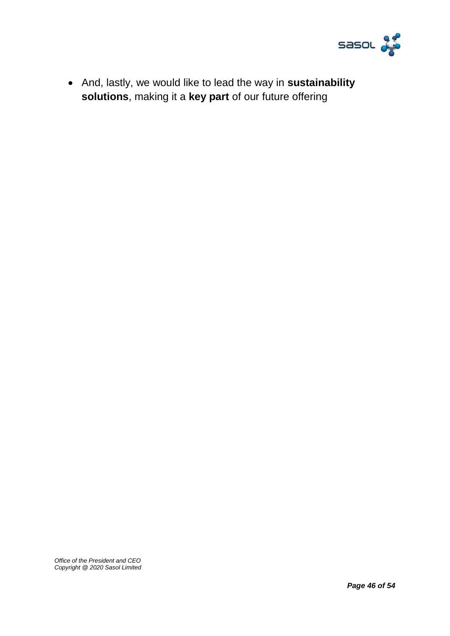

 And, lastly, we would like to lead the way in **sustainability solutions**, making it a **key part** of our future offering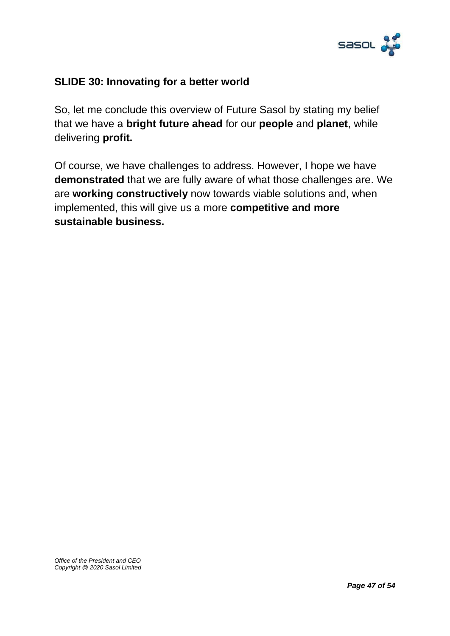

### **SLIDE 30: Innovating for a better world**

So, let me conclude this overview of Future Sasol by stating my belief that we have a **bright future ahead** for our **people** and **planet**, while delivering **profit.**

Of course, we have challenges to address. However, I hope we have **demonstrated** that we are fully aware of what those challenges are. We are **working constructively** now towards viable solutions and, when implemented, this will give us a more **competitive and more sustainable business.**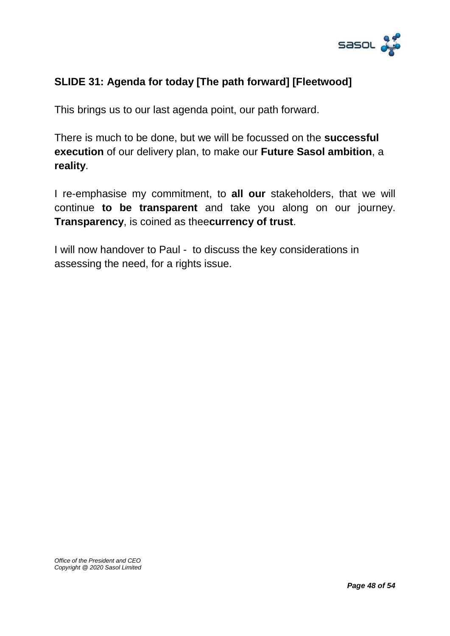

### **SLIDE 31: Agenda for today [The path forward] [Fleetwood]**

This brings us to our last agenda point, our path forward.

There is much to be done, but we will be focussed on the **successful execution** of our delivery plan, to make our **Future Sasol ambition**, a **reality**.

I re-emphasise my commitment, to **all our** stakeholders, that we will continue **to be transparent** and take you along on our journey. **Transparency**, is coined as thee**currency of trust**.

I will now handover to Paul - to discuss the key considerations in assessing the need, for a rights issue.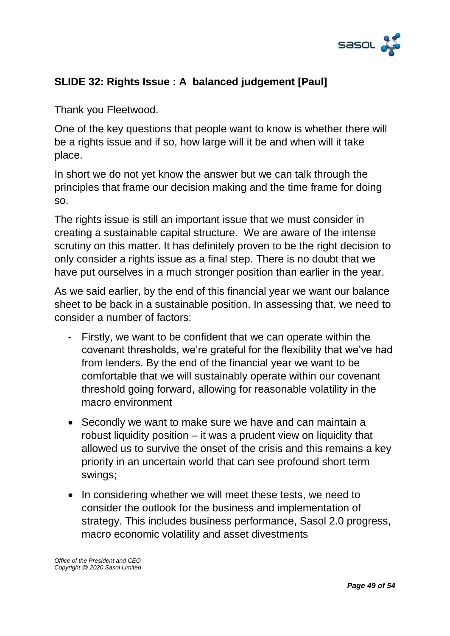

# **SLIDE 32: Rights Issue : A balanced judgement [Paul]**

Thank you Fleetwood.

One of the key questions that people want to know is whether there will be a rights issue and if so, how large will it be and when will it take place.

In short we do not yet know the answer but we can talk through the principles that frame our decision making and the time frame for doing so.

The rights issue is still an important issue that we must consider in creating a sustainable capital structure. We are aware of the intense scrutiny on this matter. It has definitely proven to be the right decision to only consider a rights issue as a final step. There is no doubt that we have put ourselves in a much stronger position than earlier in the year.

As we said earlier, by the end of this financial year we want our balance sheet to be back in a sustainable position. In assessing that, we need to consider a number of factors:

- Firstly, we want to be confident that we can operate within the covenant thresholds, we're grateful for the flexibility that we've had from lenders. By the end of the financial year we want to be comfortable that we will sustainably operate within our covenant threshold going forward, allowing for reasonable volatility in the macro environment
- Secondly we want to make sure we have and can maintain a robust liquidity position – it was a prudent view on liquidity that allowed us to survive the onset of the crisis and this remains a key priority in an uncertain world that can see profound short term swings;
- In considering whether we will meet these tests, we need to consider the outlook for the business and implementation of strategy. This includes business performance, Sasol 2.0 progress, macro economic volatility and asset divestments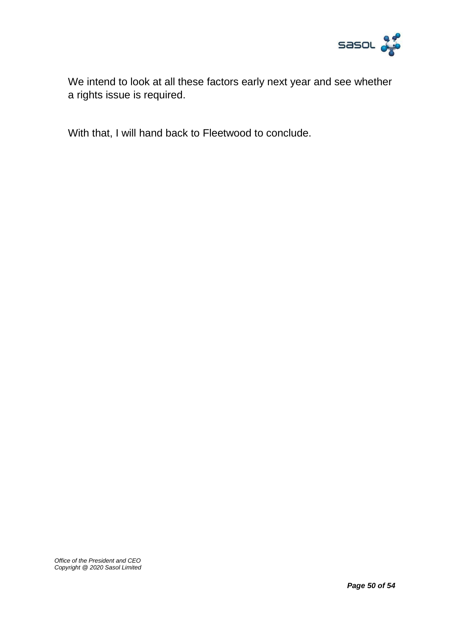

We intend to look at all these factors early next year and see whether a rights issue is required.

With that, I will hand back to Fleetwood to conclude.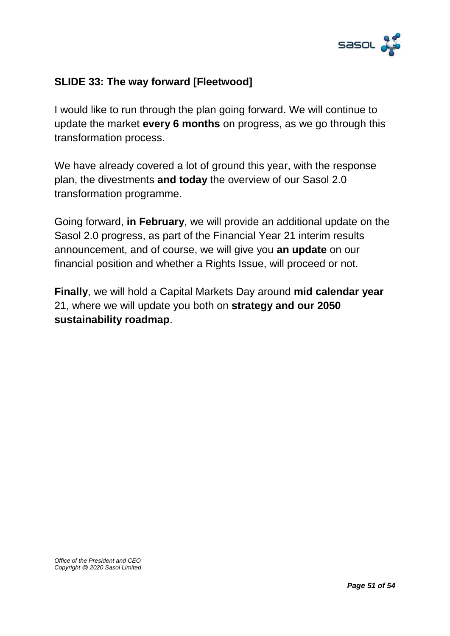

### **SLIDE 33: The way forward [Fleetwood]**

I would like to run through the plan going forward. We will continue to update the market **every 6 months** on progress, as we go through this transformation process.

We have already covered a lot of ground this year, with the response plan, the divestments **and today** the overview of our Sasol 2.0 transformation programme.

Going forward, **in February**, we will provide an additional update on the Sasol 2.0 progress, as part of the Financial Year 21 interim results announcement, and of course, we will give you **an update** on our financial position and whether a Rights Issue, will proceed or not.

**Finally**, we will hold a Capital Markets Day around **mid calendar year** 21, where we will update you both on **strategy and our 2050 sustainability roadmap**.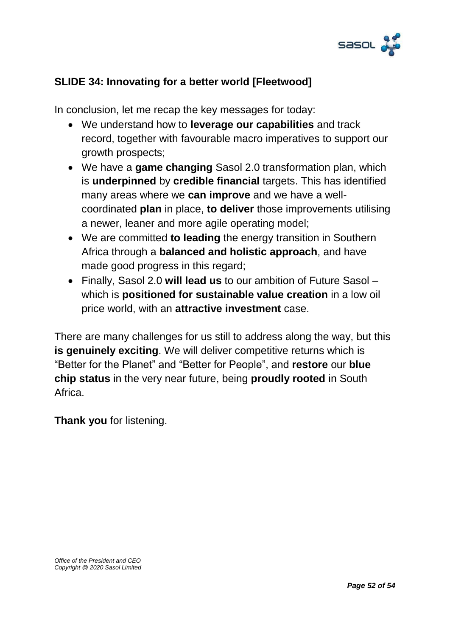

### **SLIDE 34: Innovating for a better world [Fleetwood]**

In conclusion, let me recap the key messages for today:

- We understand how to **leverage our capabilities** and track record, together with favourable macro imperatives to support our growth prospects;
- We have a **game changing** Sasol 2.0 transformation plan, which is **underpinned** by **credible financial** targets. This has identified many areas where we **can improve** and we have a wellcoordinated **plan** in place, **to deliver** those improvements utilising a newer, leaner and more agile operating model;
- We are committed **to leading** the energy transition in Southern Africa through a **balanced and holistic approach**, and have made good progress in this regard;
- Finally, Sasol 2.0 **will lead us** to our ambition of Future Sasol which is **positioned for sustainable value creation** in a low oil price world, with an **attractive investment** case.

There are many challenges for us still to address along the way, but this **is genuinely exciting**. We will deliver competitive returns which is "Better for the Planet" and "Better for People", and **restore** our **blue chip status** in the very near future, being **proudly rooted** in South Africa.

**Thank you** for listening.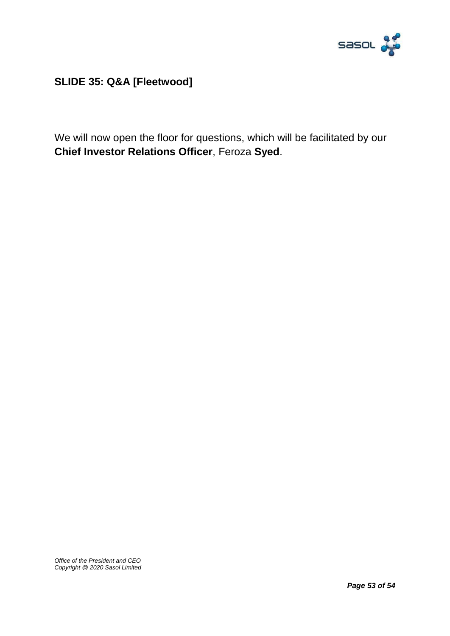

**SLIDE 35: Q&A [Fleetwood]**

We will now open the floor for questions, which will be facilitated by our **Chief Investor Relations Officer**, Feroza **Syed**.

*Office of the President and CEO Copyright @ 2020 Sasol Limited*